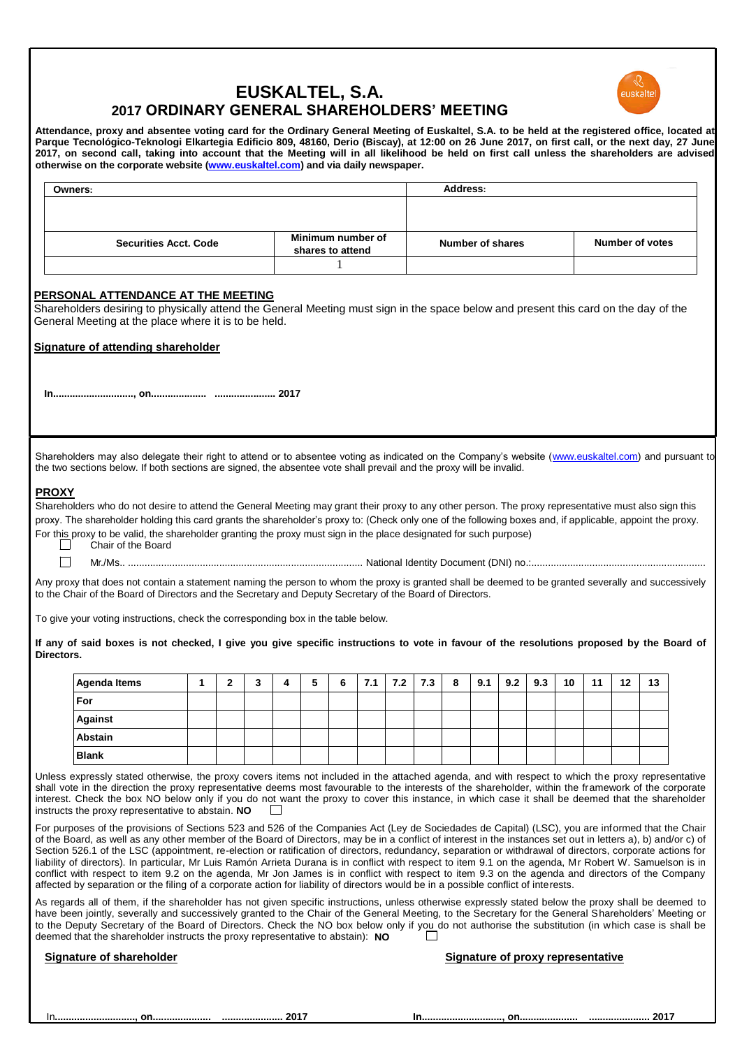

# **EUSKALTEL, S.A. 2017 ORDINARY GENERAL SHAREHOLDERS' MEETING**

**Attendance, proxy and absentee voting card for the Ordinary General Meeting of Euskaltel, S.A. to be held at the registered office, located at Parque Tecnológico-Teknologi Elkartegia Edificio 809, 48160, Derio (Biscay), at 12:00 on 26 June 2017, on first call, or the next day, 27 June 2017, on second call, taking into account that the Meeting will in all likelihood be held on first call unless the shareholders are advised otherwise on the corporate website [\(www.euskaltel.com\)](http://www.euskaltel.com/) and via daily newspaper.**

| <b>Owners:</b>               |                                       | Address:         |                 |
|------------------------------|---------------------------------------|------------------|-----------------|
|                              |                                       |                  |                 |
|                              |                                       |                  |                 |
| <b>Securities Acct. Code</b> | Minimum number of<br>shares to attend | Number of shares | Number of votes |
|                              |                                       |                  |                 |

# **PERSONAL ATTENDANCE AT THE MEETING**

Shareholders desiring to physically attend the General Meeting must sign in the space below and present this card on the day of the General Meeting at the place where it is to be held.

**Signature of attending shareholder**

**In............................., on.................... ...................... 2017**

Shareholders may also delegate their right to attend or to absentee voting as indicated on the Company's website [\(www.euskaltel.com\)](http://www.euskaltel.com/) and pursuant to the two sections below. If both sections are signed, the absentee vote shall prevail and the proxy will be invalid.

# **PROXY**

Shareholders who do not desire to attend the General Meeting may grant their proxy to any other person. The proxy representative must also sign this proxy. The shareholder holding this card grants the shareholder's proxy to: (Check only one of the following boxes and, if applicable, appoint the proxy. For this proxy to be valid, the shareholder granting the proxy must sign in the place designated for such purpose)<br>Chair of the Board

Chair of the Board

 $\Box$ 

Mr./Ms.. ..................................................................................... National Identity Document (DNI) no.:...............................................................

Any proxy that does not contain a statement naming the person to whom the proxy is granted shall be deemed to be granted severally and successively to the Chair of the Board of Directors and the Secretary and Deputy Secretary of the Board of Directors.

To give your voting instructions, check the corresponding box in the table below.

**If any of said boxes is not checked, I give you give specific instructions to vote in favour of the resolutions proposed by the Board of Directors.**

| <b>Agenda Items</b> | -<br>- | ∽<br>J | д | 5 | 6 | 7.1 | 7.2 | 7.3 | - 8 | 9.1 | 9.2 | 9.3 | 10 | 11 | 12 | 13 |
|---------------------|--------|--------|---|---|---|-----|-----|-----|-----|-----|-----|-----|----|----|----|----|
| For                 |        |        |   |   |   |     |     |     |     |     |     |     |    |    |    |    |
| Against             |        |        |   |   |   |     |     |     |     |     |     |     |    |    |    |    |
| Abstain             |        |        |   |   |   |     |     |     |     |     |     |     |    |    |    |    |
| <b>Blank</b>        |        |        |   |   |   |     |     |     |     |     |     |     |    |    |    |    |

Unless expressly stated otherwise, the proxy covers items not included in the attached agenda, and with respect to which the proxy representative shall vote in the direction the proxy representative deems most favourable to the interests of the shareholder, within the framework of the corporate interest. Check the box NO below only if you do not want the proxy to cover this instance, in which case it shall be deemed that the shareholder instructs the proxy representative to abstain. NO instructs the proxy representative to abstain. **NO**

For purposes of the provisions of Sections 523 and 526 of the Companies Act (Ley de Sociedades de Capital) (LSC), you are informed that the Chair of the Board, as well as any other member of the Board of Directors, may be in a conflict of interest in the instances set out in letters a), b) and/or c) of Section 526.1 of the LSC (appointment, re-election or ratification of directors, redundancy, separation or withdrawal of directors, corporate actions for liability of directors). In particular, Mr Luis Ramón Arrieta Durana is in conflict with respect to item 9.1 on the agenda, Mr Robert W. Samuelson is in conflict with respect to item 9.2 on the agenda, Mr Jon James is in conflict with respect to item 9.3 on the agenda and directors of the Company affected by separation or the filing of a corporate action for liability of directors would be in a possible conflict of interests.

As regards all of them, if the shareholder has not given specific instructions, unless otherwise expressly stated below the proxy shall be deemed to have been jointly, severally and successively granted to the Chair of the General Meeting, to the Secretary for the General Shareholders' Meeting or to the Deputy Secretary of the Board of Directors. Check the NO box below only if you do not authorise the substitution (in which case is shall be deemed that the shareholder instructs the proxy representative to abstain) deemed that the shareholder instructs the proxy representative to abstain): **NO**

| <b>Signature of shareholder</b> |
|---------------------------------|
|---------------------------------|

**Signature of proxy representative**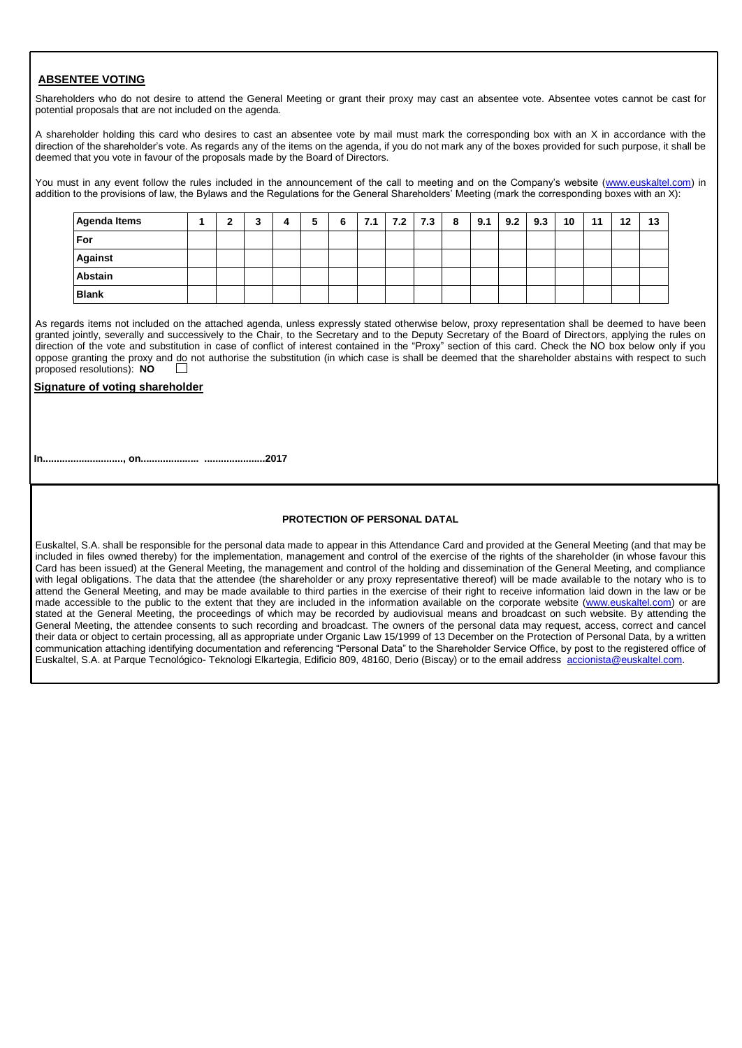## **ABSENTEE VOTING**

Shareholders who do not desire to attend the General Meeting or grant their proxy may cast an absentee vote. Absentee votes cannot be cast for potential proposals that are not included on the agenda.

A shareholder holding this card who desires to cast an absentee vote by mail must mark the corresponding box with an X in accordance with the direction of the shareholder's vote. As regards any of the items on the agenda, if you do not mark any of the boxes provided for such purpose, it shall be deemed that you vote in favour of the proposals made by the Board of Directors.

You must in any event follow the rules included in the announcement of the call to meeting and on the Company's website [\(www.euskaltel.com\)](http://www.euskaltel.com/) in addition to the provisions of law, the Bylaws and the Regulations for the General Shareholders' Meeting (mark the corresponding boxes with an X):

| <b>Agenda Items</b> | ◠ | ∽<br>w | 4 | 5 | 6 | $7.1$   $7.2$   $7.3$   8 |  | 9.1 | 9.2 | 9.3 | 10 | 11 | 12 | 13 |
|---------------------|---|--------|---|---|---|---------------------------|--|-----|-----|-----|----|----|----|----|
| For                 |   |        |   |   |   |                           |  |     |     |     |    |    |    |    |
| <b>Against</b>      |   |        |   |   |   |                           |  |     |     |     |    |    |    |    |
| <b>Abstain</b>      |   |        |   |   |   |                           |  |     |     |     |    |    |    |    |
| <b>Blank</b>        |   |        |   |   |   |                           |  |     |     |     |    |    |    |    |

As regards items not included on the attached agenda, unless expressly stated otherwise below, proxy representation shall be deemed to have been granted jointly, severally and successively to the Chair, to the Secretary and to the Deputy Secretary of the Board of Directors, applying the rules on direction of the vote and substitution in case of conflict of interest contained in the "Proxy" section of this card. Check the NO box below only if you oppose granting the proxy and do not authorise the substitution (in which case is shall be deemed that the shareholder abstains with respect to such proposed resolutions): **NO**

## **Signature of voting shareholder**

**In............................., on..................... ......................2017**

### **PROTECTION OF PERSONAL DATAL**

Euskaltel, S.A. shall be responsible for the personal data made to appear in this Attendance Card and provided at the General Meeting (and that may be included in files owned thereby) for the implementation, management and control of the exercise of the rights of the shareholder (in whose favour this Card has been issued) at the General Meeting, the management and control of the holding and dissemination of the General Meeting, and compliance with legal obligations. The data that the attendee (the shareholder or any proxy representative thereof) will be made available to the notary who is to attend the General Meeting, and may be made available to third parties in the exercise of their right to receive information laid down in the law or be made accessible to the public to the extent that they are included in the information available on the corporate website [\(www.euskaltel.com\)](http://www.euskaltel.com/) or are stated at the General Meeting, the proceedings of which may be recorded by audiovisual means and broadcast on such website. By attending the General Meeting, the attendee consents to such recording and broadcast. The owners of the personal data may request, access, correct and cancel their data or object to certain processing, all as appropriate under Organic Law 15/1999 of 13 December on the Protection of Personal Data, by a written communication attaching identifying documentation and referencing "Personal Data" to the Shareholder Service Office, by post to the registered office of Euskaltel, S.A. at Parque Tecnológico- Teknologi Elkartegia, Edificio 809, 48160, Derio (Biscay) or to the email address [accionista@euskaltel.com.](mailto:accionista@euskaltel.com)